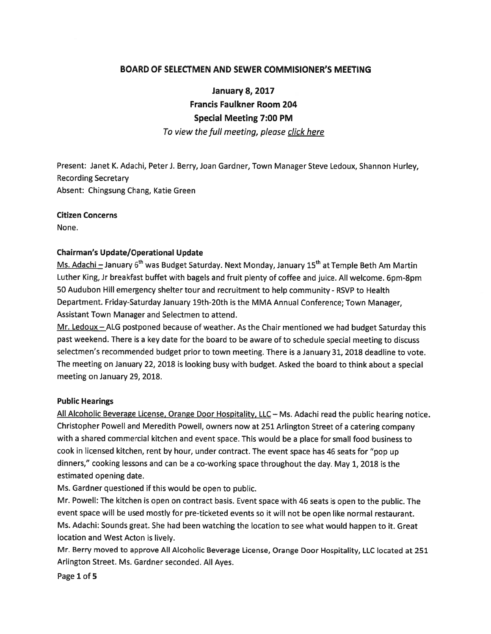### BOARD OF SELECTMEN AND SEWER COMMISIONER'S MEETING

January 8, 2017

Francis Faulkner Room 204

### Special Meeting 7:00 PM

To view the full meeting, please click here

Present: Janet K. Adachi, Peter J. Berry, Joan Gardner, Town Manager Steve Ledoux, Shannon Hurley, Recording Secretary Absent: Chingsung Chang, Katie Green

### Citizen Concerns

None.

### Chairman's Update/Operational Update

Ms. Adachi – January 6<sup>th</sup> was Budget Saturday. Next Monday, January 15<sup>th</sup> at Temple Beth Am Martin Luther King, Jr breakfast buffet with bagels and fruit <sup>p</sup>lenty of coffee and juice. All welcome. 6pm-8pm 50 Audubon Hill emergency shelter tour and recruitment to help community -RSVP to Health Department. Friday-Saturday January l9th-2Oth is the MMA Annual Conference; Town Manager, Assistant Town Manager and Selectmen to attend.

Mr. Ledoux – ALG postponed because of weather. As the Chair mentioned we had budget Saturday this pas<sup>t</sup> weekend. There is <sup>a</sup> key date for the board to be aware of to schedule special meeting to discuss selectmen's recommended budget prior to town meeting. There is <sup>a</sup> January 31, 2018 deadline to vote. The meeting on January 22, <sup>2018</sup> is looking busy with budget. Asked the board to think about <sup>a</sup> special meeting on January 29, 2018.

### Public Hearings

All Alcoholic Beverage License, Orange Door Hospitality, LLC — Ms. Adachi read the public hearing notice. Christopher Powell and Meredith Powell, owners now at <sup>251</sup> Arlington Street of <sup>a</sup> catering company with <sup>a</sup> shared commercial kitchen and event space. This would be <sup>a</sup> <sup>p</sup>lace for small food business to cook in licensed kitchen, rent by hour, under contract. The event space has <sup>46</sup> seats for "pop up dinners," cooking lessons and can be <sup>a</sup> co-working space throughout the day. May 1, <sup>2018</sup> is the estimated opening date.

Ms. Gardner questioned if this would be open to public.

Mr. Powell: The kitchen is open on contract basis. Event space with <sup>46</sup> seats is open to the public. The event space will be used mostly for pre-ticketed events so it will not be open like normal restaurant. Ms. Adachi: Sounds great. She had been watching the location to see what would happen to it. Great location and West Acton is lively.

Mr. Berry moved to approve All Alcoholic Beverage License, Orange Door Hospitality, LLC located at <sup>251</sup> Arlington Street. Ms. Gardner seconded. All Ayes.

Page 1 of 5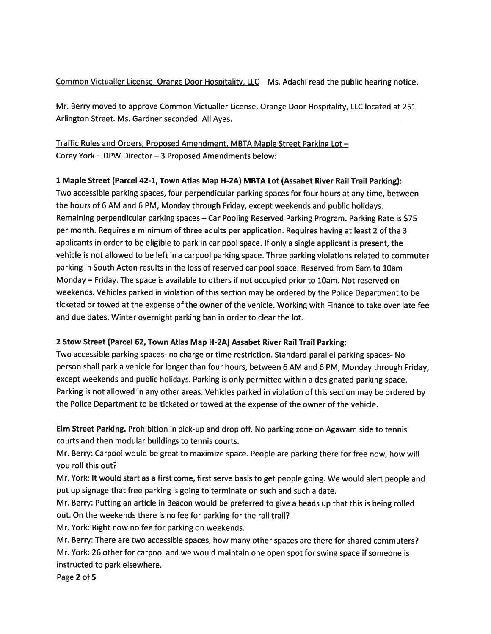Common Victualler License, Orange Door Hospitality, LLC — Ms. Adachi read the public hearing notice.

Mr. Berry moved to approve Common Victualler License, Orange Door Hospitality, LLC located at 251 Arlington Street. Ms. Gardner seconded. All Ayes.

# Traffic Rules and Orders, Proposed Amendment, MBTA Maple Street Parking Lot — Corey York — DPW Director — 3 Proposed Amendments below:

## 1 Maple Street (Parcel 42-1, Town Atlas Map H-2A) MBTA Lot (Assabet River Rail Trail Parking):

Two accessible parking spaces, four perpendicular parking spaces for four hours at any time, between the hours of <sup>6</sup> AM and <sup>6</sup> PM, Monday through Friday, excep<sup>t</sup> weekends and public holidays. Remaining perpendicular parking spaces — Car Pooling Reserved Parking Program. Parking Rate is \$75 per month. Requires <sup>a</sup> minimum of three adults per application. Requires having at least 2 of the 3 applicants in order to be eligible to par<sup>k</sup> in car poo<sup>l</sup> space. If only <sup>a</sup> single applicant is present, the vehicle is not allowed to be left in <sup>a</sup> carpoo<sup>l</sup> parking space. Three parking violations related to commuter parking in South Acton results in the loss of reserved car poo<sup>l</sup> space. Reserved from 6am to lOam Monday — Friday. The space is available to others if not occupied prior to lOam. Not reserved on weekends. Vehicles parked in violation of this section may be ordered by the Police Department to be ticketed or towed at the expense of the owner of the vehicle. Working with Finance to take over late fee and due dates. Winter overnight parking ban in order to clear the lot.

## <sup>2</sup> Stow Street (Parcel 62, Town Atlas Map H-2A) Assabet River Rail Trail Parking:

Two accessible parking spaces- no charge or time restriction. Standard parallel parking spaces- No person shall par<sup>k</sup> <sup>a</sup> vehicle for longer than four hours, between <sup>6</sup> AM and <sup>6</sup> PM, Monday through Friday, excep<sup>t</sup> weekends and public holidays. Parking is only permitted within <sup>a</sup> designated parking space. Parking is not allowed in any other areas. Vehicles parked in violation of this section may be ordered by the Police Department to be ticketed or towed at the expense of the owner of the vehicle.

Elm Street Parking, Prohibition in <sup>p</sup>ick-up and drop off. No parking zone on Agawam side to tennis courts and then modular buildings to tennis courts.

Mr. Berry: Carpool would be grea<sup>t</sup> to maximize space. People are parking there for free now, how will you roll this out?

Mr. York: It would start as <sup>a</sup> first come, first serve basis to ge<sup>t</sup> people going. We would alert people and pu<sup>t</sup> up signage that free parking is going to terminate on such and such <sup>a</sup> date.

Mr. Berry: Putting an article in Beacon would be preferred to <sup>g</sup>ive <sup>a</sup> heads up that this is being rolled out. On the weekends there is no fee for parking for the rail trail?

Mr. York: Right now no fee for parking on weekends.

Mr. Berry: There are two accessible spaces, how many other spaces are there for shared commuters? Mr. York: <sup>26</sup> other for carpoo<sup>l</sup> and we would maintain one open spo<sup>t</sup> for swing space if someone is instructed to park elsewhere.

Page 2 of 5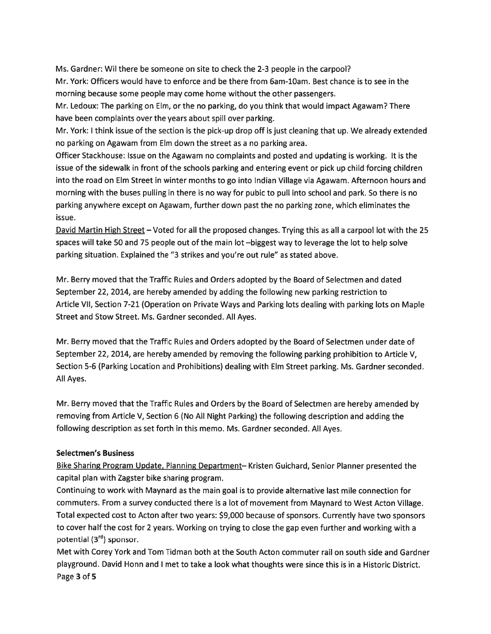Ms. Gardner: Wit there be someone on site to check the 2-3 people in the carpool? Mr. York: Officers would have to enforce and be there from 6am-lOam. Best chance is to see in the morning because some people may come home without the other passengers.

Mr. Ledoux: The parking on Elm, or the no parking, do you think that would impact Agawam? There have been complaints over the years about spill over parking.

Mr. York: I think issue of the section is the pick-up drop off is just cleaning that up. We already extended no parking on Agawam from Elm down the street as <sup>a</sup> no parking area.

Officer Stackhouse: Issue on the Agawam no complaints and posted and updating is working. It is the issue of the sidewalk in front of the schools parking and entering event or pick up child forcing children into the road on Elm Street in winter months to go into Indian Village via Agawam. Afternoon hours and morning with the buses pulling in there is no way for pubic to pull into school and park. So there is no parking anywhere excep<sup>t</sup> on Agawam, further down pas<sup>t</sup> the no parking zone, which eliminates the issue.

David Martin High Street – Voted for all the proposed changes. Trying this as all a carpool lot with the 25 spaces will take 50 and 75 people out of the main lot —biggest way to leverage the lot to help solve parking situation. Explained the "3 strikes and you're out rule" as stated above.

Mr. Berry moved that the Traffic Rules and Orders adopted by the Board of Selectmen and dated September 22, 2014, are hereby amended by adding the following new parking restriction to Article VII, Section 7-21 (Operation on Private Ways and Parking lots dealing with parking lots on Maple Street and Stow Street. Ms. Gardner seconded. All Ayes.

Mr. Berry moved that the Traffic Rules and Orders adopted by the Board of Selectmen under date of September 22, 2014, are hereby amended by removing the following parking prohibition to Article V, Section 5-6 (Parking Location and Prohibitions) dealing with Elm Street parking. Ms. Gardner seconded. All Ayes.

Mr. Berry moved that the Traffic Rules and Orders by the Board of Selectmen are hereby amended by removing from Article V, Section <sup>6</sup> (No All Night Parking) the following description and adding the following description as set forth in this memo. Ms. Gardner seconded. All Ayes.

## Selectmen's Business

Bike Sharing Program Update, Planning Department— Kristen Guichard, Senior Planner presented the capital plan with Zagster bike sharing program.

Continuing to work with Maynard as the main goal is to provide alternative last mile connection for commuters. From <sup>a</sup> survey conducted there is <sup>a</sup> lot of movement from Maynard to West Acton Village. Total expected cost to Acton after two years: \$9,000 because of sponsors. Currently have two sponsors to cover half the cost for <sup>2</sup> years. Working on trying to close the gap even further and working with <sup>a</sup> potential (3rd) sponsor.

Met with Corey York and Tom Tidman both at the South Acton commuter rail on south side and Gardner <sup>p</sup>layground. David Honn and <sup>I</sup> met to take <sup>a</sup> look what thoughts were since this is in <sup>a</sup> Historic District. Page 3 of 5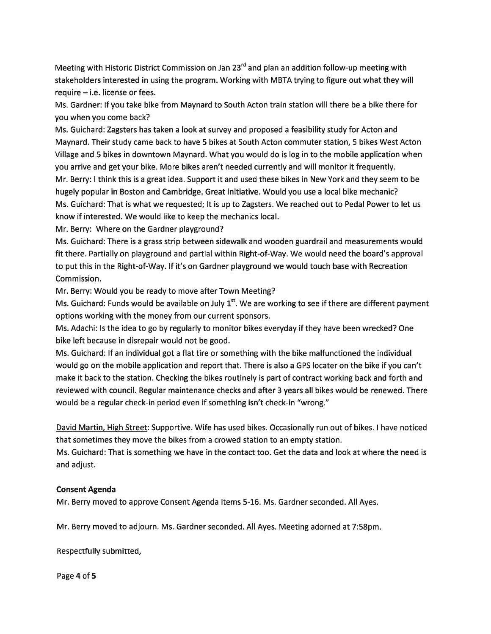Meeting with Historic District Commission on Jan 23<sup>rd</sup> and plan an addition follow-up meeting with stakeholders interested in using the program. Working with MBTA trying to figure out what they will require — i.e. license or fees.

Ms. Gardner: If you take bike from Maynard to South Acton train station will there be <sup>a</sup> bike there for you when you come back?

Ms. Guichard: Zagsters has taken <sup>a</sup> look at survey and proposed <sup>a</sup> feasibility study for Acton and Maynard. Their study came back to have 5 bikes at South Acton commuter station, 5 bikes West Acton Village and 5 bikes in downtown Maynard. What you would do is log in to the mobile application when you arrive and ge<sup>t</sup> your bike. More bikes aren't needed currently and will monitor it frequently. Mr. Berry: I think this is <sup>a</sup> grea<sup>t</sup> idea. Support it and used these bikes in New York and they seem to be hugely popular in Boston and Cambridge. Great initiative. Would you use <sup>a</sup> local bike mechanic?

Ms. Guichard: That is what we requested; It is up to Zagsters. We reached out to Pedal Power to let us know if interested. We would like to keep the mechanics local.

Mr. Berry: Where on the Gardner playground?

Ms. Guichard: There is <sup>a</sup> grass strip between sidewalk and wooden guardrail and measurements would fit there. Partially on playground and partial within Right-of-Way. We would need the board's approval to pu<sup>t</sup> this in the Right-of-Way. If it's on Gardner playground we would touch base with Recreation Commission.

Mr. Berry: Would you be ready to move after Town Meeting?

Ms. Guichard: Funds would be available on July  $1<sup>st</sup>$ . We are working to see if there are different payment options working with the money from our current sponsors.

Ms. Adachi: Is the idea to go by regularly to monitor bikes everyday if they have been wrecked? One bike left because in disrepair would not be good.

Ms. Guichard: If an individual go<sup>t</sup> <sup>a</sup> flat tire or something with the bike malfunctioned the individual would go on the mobile application and repor<sup>t</sup> that. There is also <sup>a</sup> GPS locater on the bike if you can't make it back to the station. Checking the bikes routinely is par<sup>t</sup> of contract working back and forth and reviewed with council. Regular maintenance checks and after 3 years all bikes would be renewed. There would be <sup>a</sup> regular check-in period even if something isn't check-in "wrong."

David Martin, High Street: Supportive. Wife has used bikes. Occasionally run out of bikes. <sup>I</sup> have noticed that sometimes they move the bikes from <sup>a</sup> crowed station to an empty station.

Ms. Guichard: That is something we have in the contact too. Get the data and look at where the need is and adjust.

### Consent Agenda

Mr. Berry moved to approve Consent Agenda Items 5-16. Ms. Gardner seconded. All Ayes.

Mr. Berry moved to adjourn. Ms. Gardner seconded. All Ayes. Meeting adorned at 7:58pm.

Respectfully submitted,

Page 4 of 5